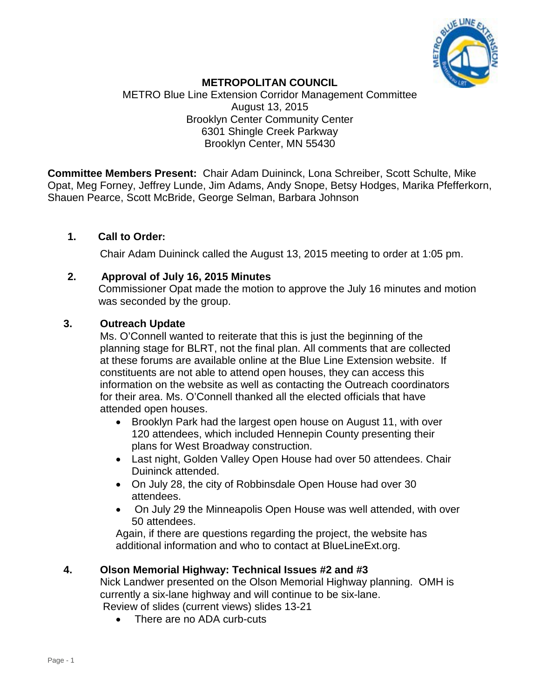

# **METROPOLITAN COUNCIL**

METRO Blue Line Extension Corridor Management Committee August 13, 2015 Brooklyn Center Community Center 6301 Shingle Creek Parkway Brooklyn Center, MN 55430

**Committee Members Present:** Chair Adam Duininck, Lona Schreiber, Scott Schulte, Mike Opat, Meg Forney, Jeffrey Lunde, Jim Adams, Andy Snope, Betsy Hodges, Marika Pfefferkorn, Shauen Pearce, Scott McBride, George Selman, Barbara Johnson

# **1. Call to Order:**

Chair Adam Duininck called the August 13, 2015 meeting to order at 1:05 pm.

# **2. Approval of July 16, 2015 Minutes**

Commissioner Opat made the motion to approve the July 16 minutes and motion was seconded by the group.

# **3. Outreach Update**

Ms. O'Connell wanted to reiterate that this is just the beginning of the planning stage for BLRT, not the final plan. All comments that are collected at these forums are available online at the Blue Line Extension website. If constituents are not able to attend open houses, they can access this information on the website as well as contacting the Outreach coordinators for their area. Ms. O'Connell thanked all the elected officials that have attended open houses.

- Brooklyn Park had the largest open house on August 11, with over 120 attendees, which included Hennepin County presenting their plans for West Broadway construction.
- Last night, Golden Valley Open House had over 50 attendees. Chair Duininck attended.
- On July 28, the city of Robbinsdale Open House had over 30 attendees.
- On July 29 the Minneapolis Open House was well attended, with over 50 attendees.

Again, if there are questions regarding the project, the website has additional information and who to contact at BlueLineExt.org.

# **4. Olson Memorial Highway: Technical Issues #2 and #3**

Nick Landwer presented on the Olson Memorial Highway planning. OMH is currently a six-lane highway and will continue to be six-lane. Review of slides (current views) slides 13-21

• There are no ADA curb-cuts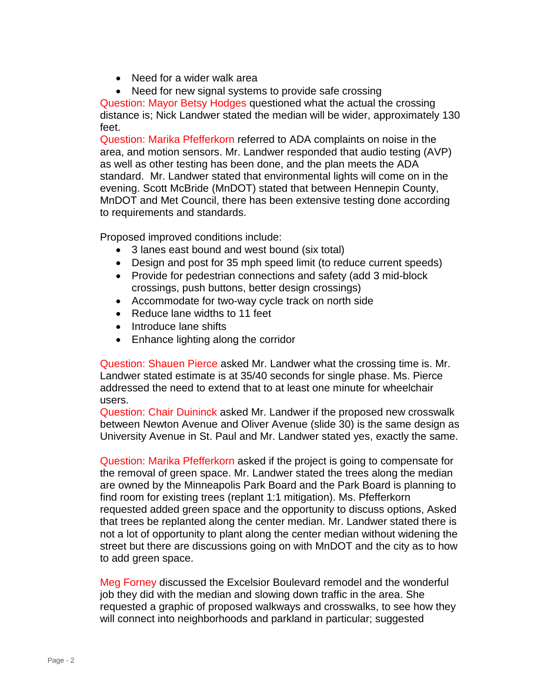- Need for a wider walk area
- Need for new signal systems to provide safe crossing

Question: Mayor Betsy Hodges questioned what the actual the crossing distance is; Nick Landwer stated the median will be wider, approximately 130 feet.

Question: Marika Pfefferkorn referred to ADA complaints on noise in the area, and motion sensors. Mr. Landwer responded that audio testing (AVP) as well as other testing has been done, and the plan meets the ADA standard. Mr. Landwer stated that environmental lights will come on in the evening. Scott McBride (MnDOT) stated that between Hennepin County, MnDOT and Met Council, there has been extensive testing done according to requirements and standards.

Proposed improved conditions include:

- 3 lanes east bound and west bound (six total)
- Design and post for 35 mph speed limit (to reduce current speeds)
- Provide for pedestrian connections and safety (add 3 mid-block crossings, push buttons, better design crossings)
- Accommodate for two-way cycle track on north side
- Reduce lane widths to 11 feet
- Introduce lane shifts
- Enhance lighting along the corridor

Question: Shauen Pierce asked Mr. Landwer what the crossing time is. Mr. Landwer stated estimate is at 35/40 seconds for single phase. Ms. Pierce addressed the need to extend that to at least one minute for wheelchair users.

Question: Chair Duininck asked Mr. Landwer if the proposed new crosswalk between Newton Avenue and Oliver Avenue (slide 30) is the same design as University Avenue in St. Paul and Mr. Landwer stated yes, exactly the same.

Question: Marika Pfefferkorn asked if the project is going to compensate for the removal of green space. Mr. Landwer stated the trees along the median are owned by the Minneapolis Park Board and the Park Board is planning to find room for existing trees (replant 1:1 mitigation). Ms. Pfefferkorn requested added green space and the opportunity to discuss options, Asked that trees be replanted along the center median. Mr. Landwer stated there is not a lot of opportunity to plant along the center median without widening the street but there are discussions going on with MnDOT and the city as to how to add green space.

Meg Forney discussed the Excelsior Boulevard remodel and the wonderful job they did with the median and slowing down traffic in the area. She requested a graphic of proposed walkways and crosswalks, to see how they will connect into neighborhoods and parkland in particular; suggested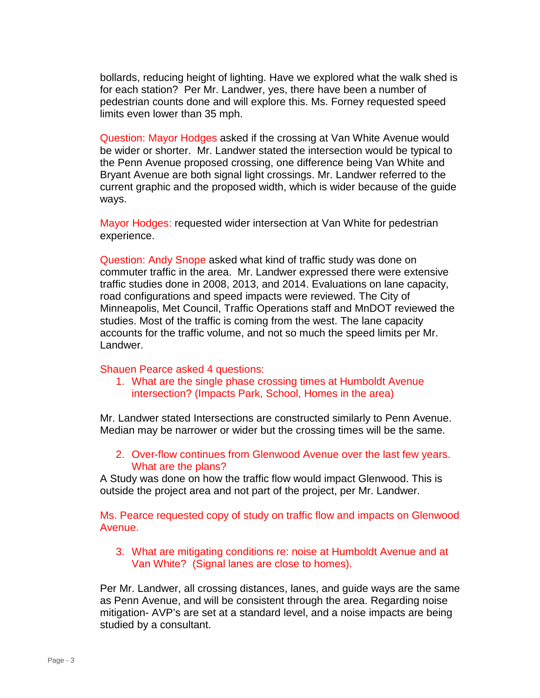bollards, reducing height of lighting. Have we explored what the walk shed is for each station? Per Mr. Landwer, yes, there have been a number of pedestrian counts done and will explore this. Ms. Forney requested speed limits even lower than 35 mph.

Question: Mayor Hodges asked if the crossing at Van White Avenue would be wider or shorter. Mr. Landwer stated the intersection would be typical to the Penn Avenue proposed crossing, one difference being Van White and Bryant Avenue are both signal light crossings. Mr. Landwer referred to the current graphic and the proposed width, which is wider because of the guide ways.

Mayor Hodges: requested wider intersection at Van White for pedestrian experience.

Question: Andy Snope asked what kind of traffic study was done on commuter traffic in the area. Mr. Landwer expressed there were extensive traffic studies done in 2008, 2013, and 2014. Evaluations on lane capacity, road configurations and speed impacts were reviewed. The City of Minneapolis, Met Council, Traffic Operations staff and MnDOT reviewed the studies. Most of the traffic is coming from the west. The lane capacity accounts for the traffic volume, and not so much the speed limits per Mr. Landwer.

### Shauen Pearce asked 4 questions:

1. What are the single phase crossing times at Humboldt Avenue intersection? (Impacts Park, School, Homes in the area)

Mr. Landwer stated Intersections are constructed similarly to Penn Avenue. Median may be narrower or wider but the crossing times will be the same.

## 2. Over-flow continues from Glenwood Avenue over the last few years. What are the plans?

A Study was done on how the traffic flow would impact Glenwood. This is outside the project area and not part of the project, per Mr. Landwer.

Ms. Pearce requested copy of study on traffic flow and impacts on Glenwood Avenue.

3. What are mitigating conditions re: noise at Humboldt Avenue and at Van White? (Signal lanes are close to homes).

Per Mr. Landwer, all crossing distances, lanes, and guide ways are the same as Penn Avenue, and will be consistent through the area. Regarding noise mitigation- AVP's are set at a standard level, and a noise impacts are being studied by a consultant.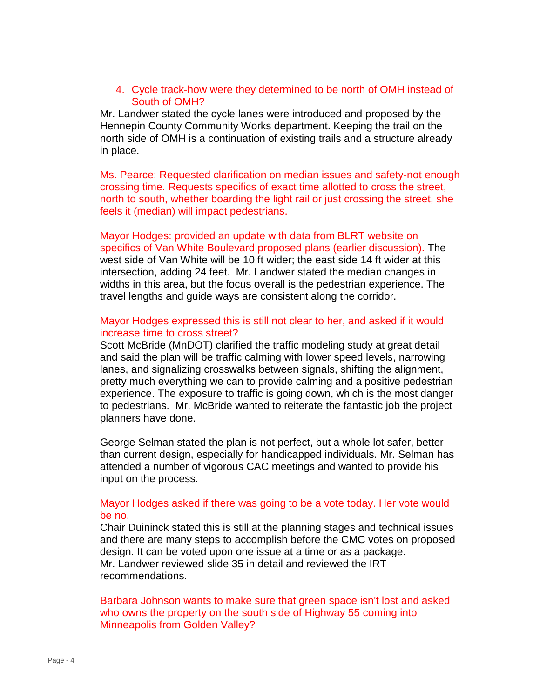## 4. Cycle track-how were they determined to be north of OMH instead of South of OMH?

Mr. Landwer stated the cycle lanes were introduced and proposed by the Hennepin County Community Works department. Keeping the trail on the north side of OMH is a continuation of existing trails and a structure already in place.

Ms. Pearce: Requested clarification on median issues and safety-not enough crossing time. Requests specifics of exact time allotted to cross the street, north to south, whether boarding the light rail or just crossing the street, she feels it (median) will impact pedestrians.

Mayor Hodges: provided an update with data from BLRT website on specifics of Van White Boulevard proposed plans (earlier discussion). The west side of Van White will be 10 ft wider; the east side 14 ft wider at this intersection, adding 24 feet. Mr. Landwer stated the median changes in widths in this area, but the focus overall is the pedestrian experience. The travel lengths and guide ways are consistent along the corridor.

### Mayor Hodges expressed this is still not clear to her, and asked if it would increase time to cross street?

Scott McBride (MnDOT) clarified the traffic modeling study at great detail and said the plan will be traffic calming with lower speed levels, narrowing lanes, and signalizing crosswalks between signals, shifting the alignment, pretty much everything we can to provide calming and a positive pedestrian experience. The exposure to traffic is going down, which is the most danger to pedestrians. Mr. McBride wanted to reiterate the fantastic job the project planners have done.

George Selman stated the plan is not perfect, but a whole lot safer, better than current design, especially for handicapped individuals. Mr. Selman has attended a number of vigorous CAC meetings and wanted to provide his input on the process.

### Mayor Hodges asked if there was going to be a vote today. Her vote would be no.

Chair Duininck stated this is still at the planning stages and technical issues and there are many steps to accomplish before the CMC votes on proposed design. It can be voted upon one issue at a time or as a package. Mr. Landwer reviewed slide 35 in detail and reviewed the IRT recommendations.

Barbara Johnson wants to make sure that green space isn't lost and asked who owns the property on the south side of Highway 55 coming into Minneapolis from Golden Valley?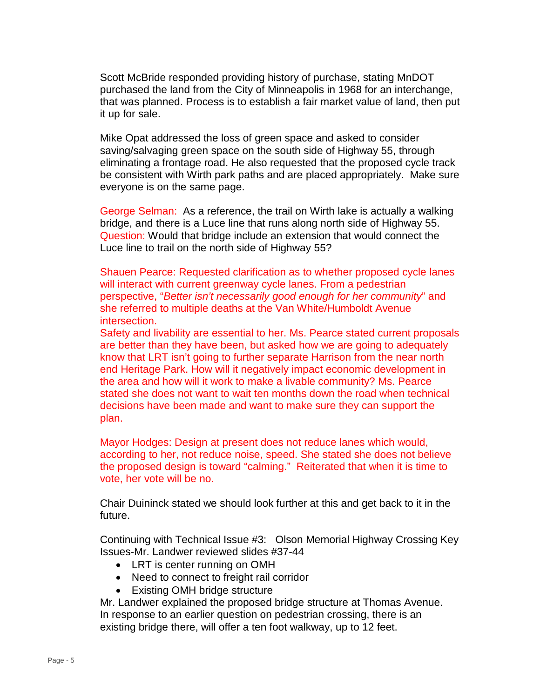Scott McBride responded providing history of purchase, stating MnDOT purchased the land from the City of Minneapolis in 1968 for an interchange, that was planned. Process is to establish a fair market value of land, then put it up for sale.

Mike Opat addressed the loss of green space and asked to consider saving/salvaging green space on the south side of Highway 55, through eliminating a frontage road. He also requested that the proposed cycle track be consistent with Wirth park paths and are placed appropriately. Make sure everyone is on the same page.

George Selman: As a reference, the trail on Wirth lake is actually a walking bridge, and there is a Luce line that runs along north side of Highway 55. Question: Would that bridge include an extension that would connect the Luce line to trail on the north side of Highway 55?

Shauen Pearce: Requested clarification as to whether proposed cycle lanes will interact with current greenway cycle lanes. From a pedestrian perspective, "*Better isn't necessarily good enough for her community*" and she referred to multiple deaths at the Van White/Humboldt Avenue intersection.

Safety and livability are essential to her. Ms. Pearce stated current proposals are better than they have been, but asked how we are going to adequately know that LRT isn't going to further separate Harrison from the near north end Heritage Park. How will it negatively impact economic development in the area and how will it work to make a livable community? Ms. Pearce stated she does not want to wait ten months down the road when technical decisions have been made and want to make sure they can support the plan.

Mayor Hodges: Design at present does not reduce lanes which would, according to her, not reduce noise, speed. She stated she does not believe the proposed design is toward "calming." Reiterated that when it is time to vote, her vote will be no.

Chair Duininck stated we should look further at this and get back to it in the future.

Continuing with Technical Issue #3: Olson Memorial Highway Crossing Key Issues-Mr. Landwer reviewed slides #37-44

- LRT is center running on OMH
- Need to connect to freight rail corridor
- Existing OMH bridge structure

Mr. Landwer explained the proposed bridge structure at Thomas Avenue. In response to an earlier question on pedestrian crossing, there is an existing bridge there, will offer a ten foot walkway, up to 12 feet.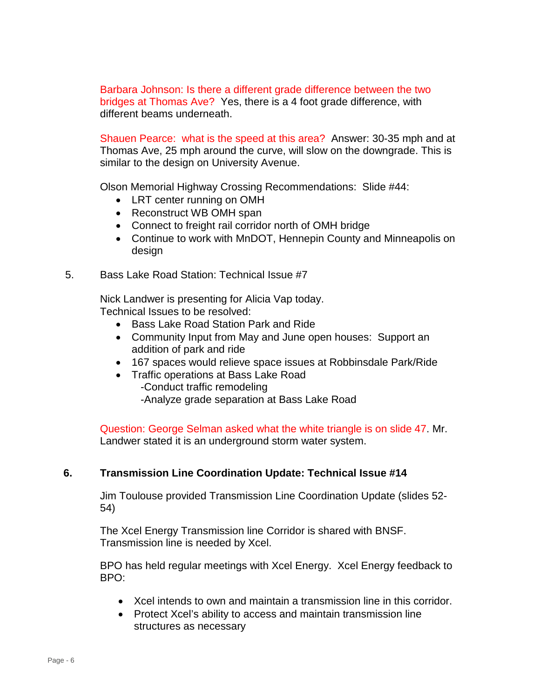Barbara Johnson: Is there a different grade difference between the two bridges at Thomas Ave? Yes, there is a 4 foot grade difference, with different beams underneath.

Shauen Pearce: what is the speed at this area? Answer: 30-35 mph and at Thomas Ave, 25 mph around the curve, will slow on the downgrade. This is similar to the design on University Avenue.

Olson Memorial Highway Crossing Recommendations: Slide #44:

- LRT center running on OMH
- Reconstruct WB OMH span
- Connect to freight rail corridor north of OMH bridge
- Continue to work with MnDOT, Hennepin County and Minneapolis on design
- 5. Bass Lake Road Station: Technical Issue #7

Nick Landwer is presenting for Alicia Vap today. Technical Issues to be resolved:

- Bass Lake Road Station Park and Ride
- Community Input from May and June open houses: Support an addition of park and ride
- 167 spaces would relieve space issues at Robbinsdale Park/Ride
- Traffic operations at Bass Lake Road
	- -Conduct traffic remodeling
	- -Analyze grade separation at Bass Lake Road

Question: George Selman asked what the white triangle is on slide 47. Mr. Landwer stated it is an underground storm water system.

# **6. Transmission Line Coordination Update: Technical Issue #14**

Jim Toulouse provided Transmission Line Coordination Update (slides 52- 54)

The Xcel Energy Transmission line Corridor is shared with BNSF. Transmission line is needed by Xcel.

BPO has held regular meetings with Xcel Energy. Xcel Energy feedback to BPO:

- Xcel intends to own and maintain a transmission line in this corridor.
- Protect Xcel's ability to access and maintain transmission line structures as necessary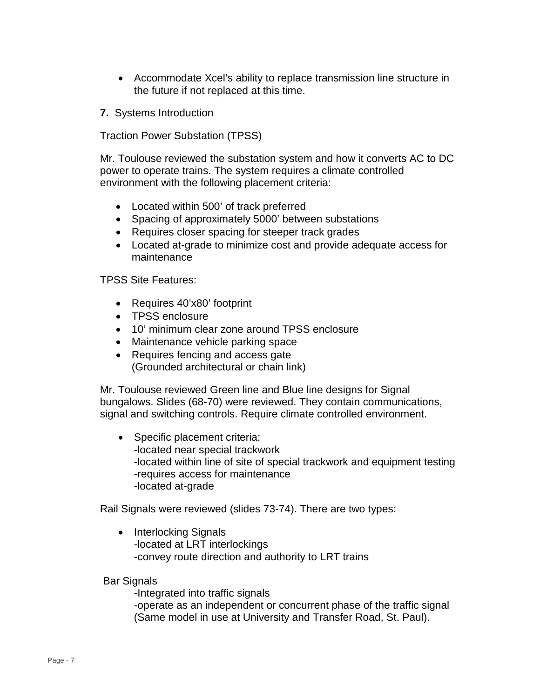- Accommodate Xcel's ability to replace transmission line structure in the future if not replaced at this time.
- **7.** Systems Introduction

Traction Power Substation (TPSS)

Mr. Toulouse reviewed the substation system and how it converts AC to DC power to operate trains. The system requires a climate controlled environment with the following placement criteria:

- Located within 500' of track preferred
- Spacing of approximately 5000' between substations
- Requires closer spacing for steeper track grades
- Located at-grade to minimize cost and provide adequate access for maintenance

TPSS Site Features:

- Requires 40'x80' footprint
- TPSS enclosure
- 10' minimum clear zone around TPSS enclosure
- Maintenance vehicle parking space
- Requires fencing and access gate (Grounded architectural or chain link)

Mr. Toulouse reviewed Green line and Blue line designs for Signal bungalows. Slides (68-70) were reviewed. They contain communications, signal and switching controls. Require climate controlled environment.

• Specific placement criteria: -located near special trackwork -located within line of site of special trackwork and equipment testing -requires access for maintenance -located at-grade

Rail Signals were reviewed (slides 73-74). There are two types:

• Interlocking Signals -located at LRT interlockings -convey route direction and authority to LRT trains

Bar Signals

-Integrated into traffic signals

-operate as an independent or concurrent phase of the traffic signal (Same model in use at University and Transfer Road, St. Paul).